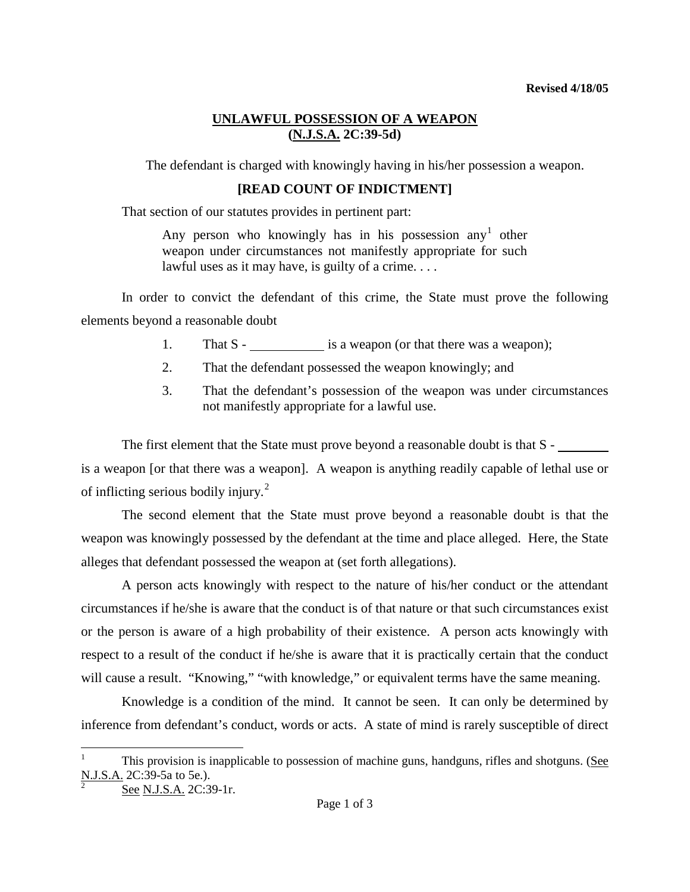## **UNLAWFUL POSSESSION OF A WEAPON (N.J.S.A. 2C:39-5d)**

The defendant is charged with knowingly having in his/her possession a weapon.

## **[READ COUNT OF INDICTMENT]**

That section of our statutes provides in pertinent part:

Any person who knowingly has in his possession any<sup>[1](#page-1-0)</sup> other weapon under circumstances not manifestly appropriate for such lawful uses as it may have, is guilty of a crime....

In order to convict the defendant of this crime, the State must prove the following elements beyond a reasonable doubt

- 1. That S is a weapon (or that there was a weapon);
- 2. That the defendant possessed the weapon knowingly; and
- 3. That the defendant's possession of the weapon was under circumstances not manifestly appropriate for a lawful use.

The first element that the State must prove beyond a reasonable doubt is that S is a weapon [or that there was a weapon]. A weapon is anything readily capable of lethal use or of inflicting serious bodily injury. $^{2}$  $^{2}$  $^{2}$ 

The second element that the State must prove beyond a reasonable doubt is that the weapon was knowingly possessed by the defendant at the time and place alleged. Here, the State alleges that defendant possessed the weapon at (set forth allegations).

A person acts knowingly with respect to the nature of his/her conduct or the attendant circumstances if he/she is aware that the conduct is of that nature or that such circumstances exist or the person is aware of a high probability of their existence. A person acts knowingly with respect to a result of the conduct if he/she is aware that it is practically certain that the conduct will cause a result. "Knowing," "with knowledge," or equivalent terms have the same meaning.

Knowledge is a condition of the mind. It cannot be seen. It can only be determined by inference from defendant's conduct, words or acts. A state of mind is rarely susceptible of direct

<span id="page-0-1"></span><sup>1</sup> This provision is inapplicable to possession of machine guns, handguns, rifles and shotguns. (See N.J.S.A. 2C:39-5a to 5e.).

<span id="page-0-0"></span>See N.J.S.A. 2C:39-1r.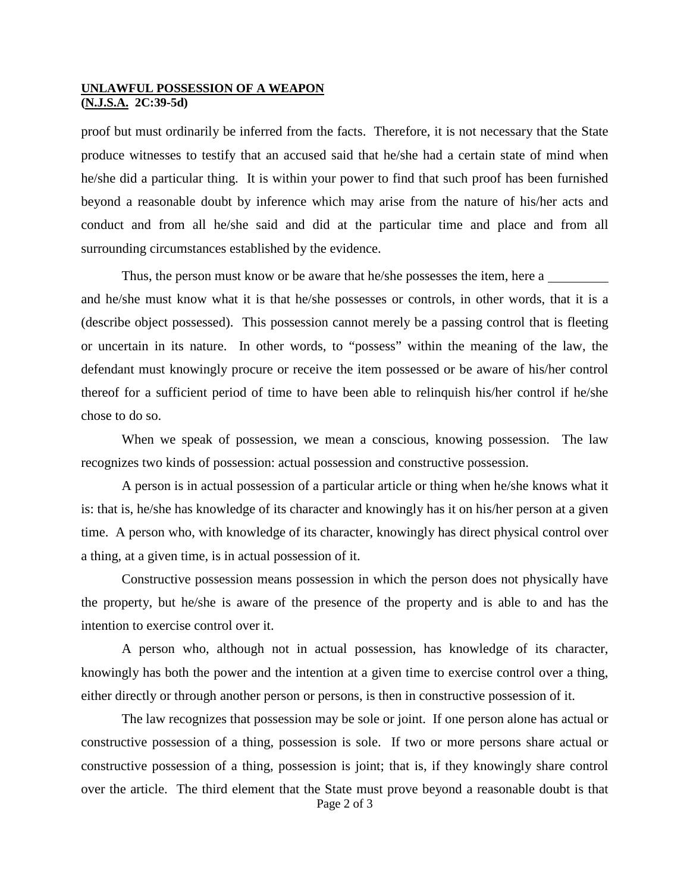## **UNLAWFUL POSSESSION OF A WEAPON (N.J.S.A. 2C:39-5d)**

proof but must ordinarily be inferred from the facts. Therefore, it is not necessary that the State produce witnesses to testify that an accused said that he/she had a certain state of mind when he/she did a particular thing. It is within your power to find that such proof has been furnished beyond a reasonable doubt by inference which may arise from the nature of his/her acts and conduct and from all he/she said and did at the particular time and place and from all surrounding circumstances established by the evidence.

Thus, the person must know or be aware that he/she possesses the item, here a and he/she must know what it is that he/she possesses or controls, in other words, that it is a (describe object possessed). This possession cannot merely be a passing control that is fleeting or uncertain in its nature. In other words, to "possess" within the meaning of the law, the defendant must knowingly procure or receive the item possessed or be aware of his/her control thereof for a sufficient period of time to have been able to relinquish his/her control if he/she chose to do so.

When we speak of possession, we mean a conscious, knowing possession. The law recognizes two kinds of possession: actual possession and constructive possession.

A person is in actual possession of a particular article or thing when he/she knows what it is: that is, he/she has knowledge of its character and knowingly has it on his/her person at a given time. A person who, with knowledge of its character, knowingly has direct physical control over a thing, at a given time, is in actual possession of it.

Constructive possession means possession in which the person does not physically have the property, but he/she is aware of the presence of the property and is able to and has the intention to exercise control over it.

A person who, although not in actual possession, has knowledge of its character, knowingly has both the power and the intention at a given time to exercise control over a thing, either directly or through another person or persons, is then in constructive possession of it.

<span id="page-1-0"></span>Page 2 of 3 The law recognizes that possession may be sole or joint. If one person alone has actual or constructive possession of a thing, possession is sole. If two or more persons share actual or constructive possession of a thing, possession is joint; that is, if they knowingly share control over the article. The third element that the State must prove beyond a reasonable doubt is that